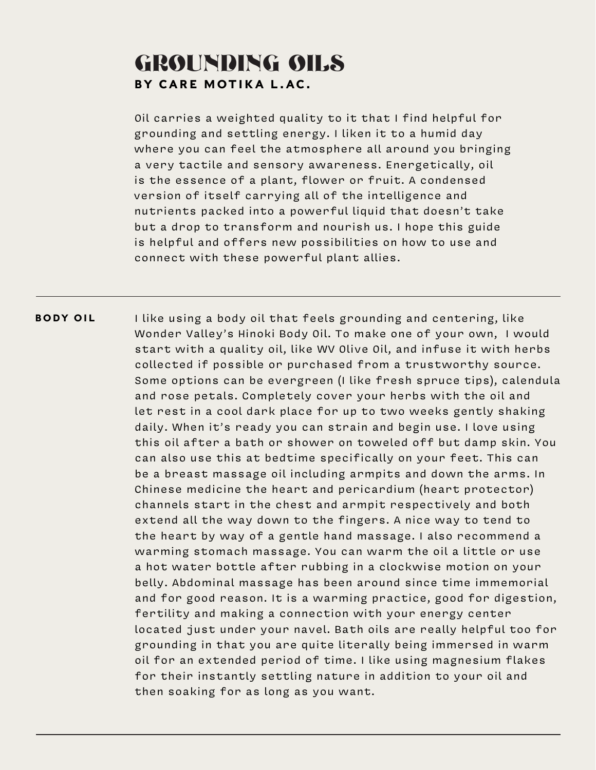## GROUNDING OILS BY CARE MOTIKA L.AC.

Oil carries a weighted quality to it that I find helpful for grounding and settling energy. I liken it to a humid day where you can feel the atmosphere all around you bringing a very tactile and sensory awareness. Energetically, oil is the essence of a plant, flower or fruit. A condensed version of itself carrying all of the intelligence and nutrients packed into a powerful liquid that doesn't take but a drop to transform and nourish us. I hope this guide is helpful and offers new possibilities on how to use and connect with these powerful plant allies.

I like using a body oil that feels grounding and centering, like Wonder Valley's Hinoki Body Oil. To make one of your own, I would start with a quality oil, like WV Olive Oil, and infuse it with herbs collected if possible or purchased from a trustworthy source. Some options can be evergreen (I like fresh spruce tips), calendula and rose petals. Completely cover your herbs with the oil and let rest in a cool dark place for up to two weeks gently shaking daily. When it's ready you can strain and begin use. I love using this oil after a bath or shower on toweled off but damp skin. You can also use this at bedtime specifically on your feet. This can be a breast massage oil including armpits and down the arms. In Chinese medicine the heart and pericardium (heart protector) channels start in the chest and armpit respectively and both extend all the way down to the fingers. A nice way to tend to the heart by way of a gentle hand massage. I also recommend a warming stomach massage. You can warm the oil a little or use a hot water bottle after rubbing in a clockwise motion on your belly. Abdominal massage has been around since time immemorial and for good reason. It is a warming practice, good for digestion, fertility and making a connection with your energy center located just under your navel. Bath oils are really helpful too for grounding in that you are quite literally being immersed in warm oil for an extended period of time. I like using magnesium flakes for their instantly settling nature in addition to your oil and then soaking for as long as you want. BODY OIL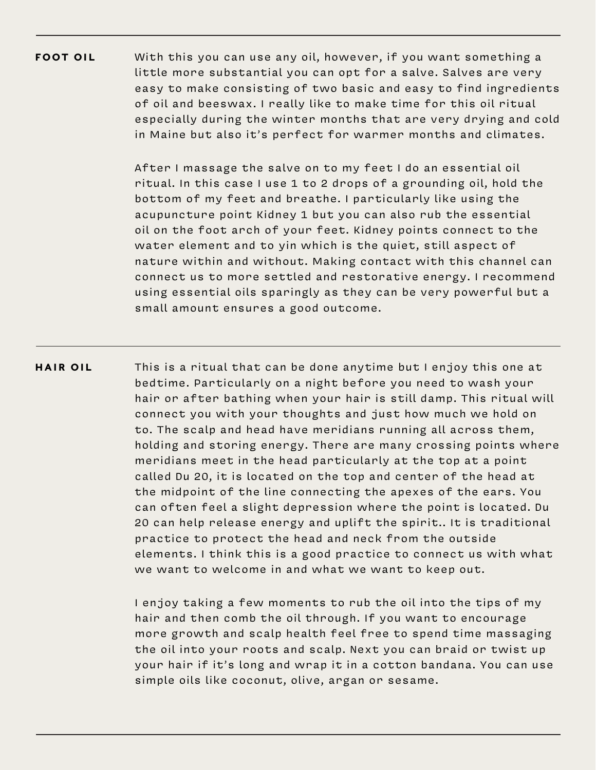With this you can use any oil, however, if you want something a little more substantial you can opt for a salve. Salves are very easy to make consisting of two basic and easy to find ingredients of oil and beeswax. I really like to make time for this oil ritual especially during the winter months that are very drying and cold in Maine but also it's perfect for warmer months and climates. FOOT OIL

> After I massage the salve on to my feet I do an essential oil ritual. In this case I use 1 to 2 drops of a grounding oil, hold the bottom of my feet and breathe. I particularly like using the acupuncture point Kidney 1 but you can also rub the essential oil on the foot arch of your feet. Kidney points connect to the water element and to yin which is the quiet, still aspect of nature within and without. Making contact with this channel can connect us to more settled and restorative energy. I recommend using essential oils sparingly as they can be very powerful but a small amount ensures a good outcome.

This is a ritual that can be done anytime but I enjoy this one at bedtime. Particularly on a night before you need to wash your hair or after bathing when your hair is still damp. This ritual will connect you with your thoughts and just how much we hold on to. The scalp and head have meridians running all across them, holding and storing energy. There are many crossing points where meridians meet in the head particularly at the top at a point called Du 20, it is located on the top and center of the head at the midpoint of the line connecting the apexes of the ears. You can often feel a slight depression where the point is located. Du 20 can help release energy and uplift the spirit.. It is traditional practice to protect the head and neck from the outside elements. I think this is a good practice to connect us with what we want to welcome in and what we want to keep out. HAIR OIL

> I enjoy taking a few moments to rub the oil into the tips of my hair and then comb the oil through. If you want to encourage more growth and scalp health feel free to spend time massaging the oil into your roots and scalp. Next you can braid or twist up your hair if it's long and wrap it in a cotton bandana. You can use simple oils like coconut, olive, argan or sesame.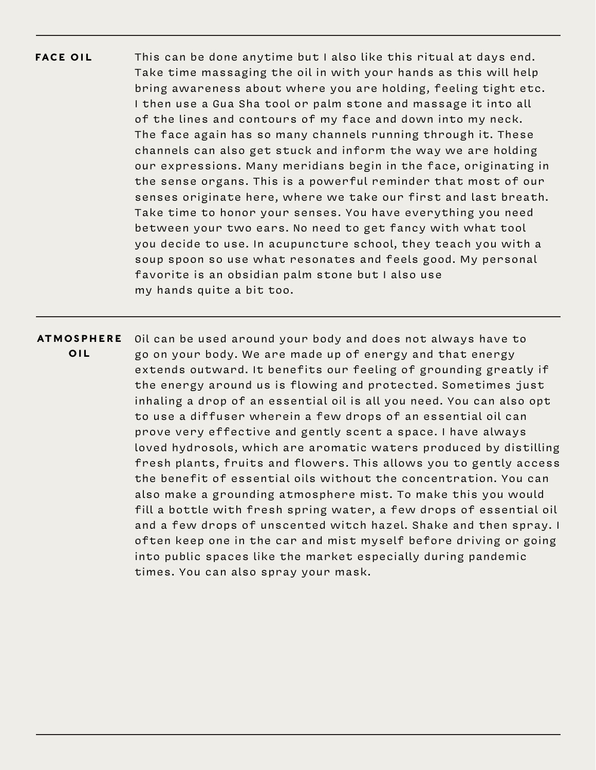- This can be done anytime but I also like this ritual at days end. Take time massaging the oil in with your hands as this will help bring awareness about where you are holding, feeling tight etc. I then use a Gua Sha tool or palm stone and massage it into all of the lines and contours of my face and down into my neck. The face again has so many channels running through it. These channels can also get stuck and inform the way we are holding our expressions. Many meridians begin in the face, originating in the sense organs. This is a powerful reminder that most of our senses originate here, where we take our first and last breath. Take time to honor your senses. You have everything you need between your two ears. No need to get fancy with what tool you decide to use. In acupuncture school, they teach you with a soup spoon so use what resonates and feels good. My personal favorite is an obsidian palm stone but I also use my hands quite a bit too. FACE OIL
- Oil can be used around your body and does not always have to go on your body. We are made up of energy and that energy extends outward. It benefits our feeling of grounding greatly if the energy around us is flowing and protected. Sometimes just inhaling a drop of an essential oil is all you need. You can also opt to use a diffuser wherein a few drops of an essential oil can prove very effective and gently scent a space. I have always loved hydrosols, which are aromatic waters produced by distilling fresh plants, fruits and flowers. This allows you to gently access the benefit of essential oils without the concentration. You can also make a grounding atmosphere mist. To make this you would fill a bottle with fresh spring water, a few drops of essential oil and a few drops of unscented witch hazel. Shake and then spray. I often keep one in the car and mist myself before driving or going into public spaces like the market especially during pandemic times. You can also spray your mask. **ATMOSPHERE** OIL